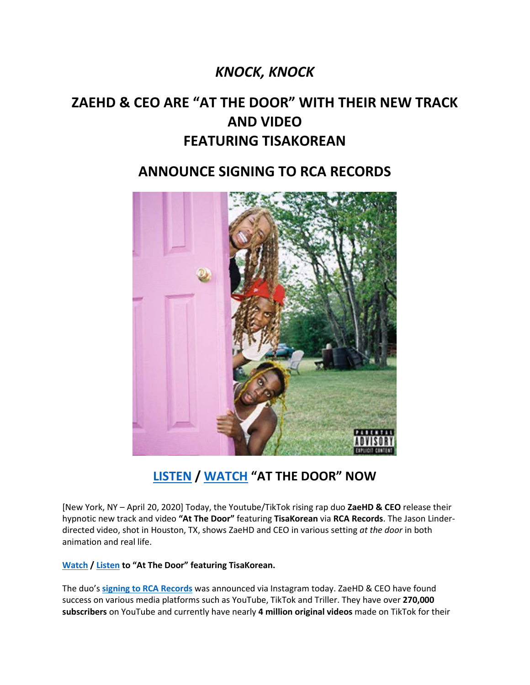## *KNOCK, KNOCK*

# **ZAEHD & CEO ARE "AT THE DOOR" WITH THEIR NEW TRACK AND VIDEO FEATURING TISAKOREAN**

### **ANNOUNCE SIGNING TO RCA RECORDS**



# **[LISTEN](https://highdefgang.lnk.to/AtTheDoorPR) / [WATCH](https://www.youtube.com/watch?v=nEtpodR5SRw) "AT THE DOOR" NOW**

[New York, NY – April 20, 2020] Today, the Youtube/TikTok rising rap duo **ZaeHD & CEO** release their hypnotic new track and video **"At The Door"** featuring **TisaKorean** via **RCA Records**. The Jason Linderdirected video, shot in Houston, TX, shows ZaeHD and CEO in various setting *at the door* in both animation and real life.

**[Watch](https://www.youtube.com/watch?v=nEtpodR5SRw) [/ Listen](https://highdefgang.lnk.to/AtTheDoorPR) to "At The Door" featuring TisaKorean.**

The duo's **[signing to RCA Records](https://www.instagram.com/p/B_NY1q5FnKE/)** was announced via Instagram today. ZaeHD & CEO have found success on various media platforms such as YouTube, TikTok and Triller. They have over **270,000 subscribers** on YouTube and currently have nearly **4 million original videos** made on TikTok for their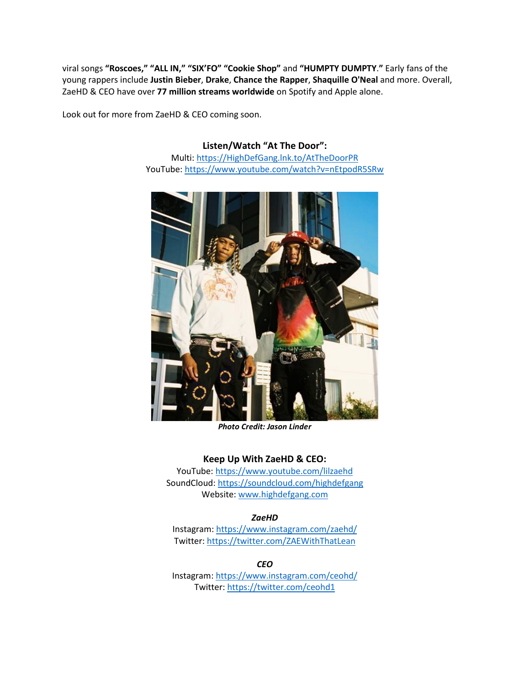viral songs **"Roscoes," "ALL IN," "SIX'FO" "Cookie Shop"** and **"HUMPTY DUMPTY**.**"** Early fans of the young rappers include **Justin Bieber**, **Drake**, **Chance the Rapper**, **Shaquille O'Neal** and more. Overall, ZaeHD & CEO have over **77 million streams worldwide** on Spotify and Apple alone.

Look out for more from ZaeHD & CEO coming soon.

**Listen/Watch "At The Door":** Multi: [https://HighDefGang.lnk.to/AtTheDoorPR](https://highdefgang.lnk.to/AtTheDoorPR) YouTube:<https://www.youtube.com/watch?v=nEtpodR5SRw>



*Photo Credit: Jason Linder*

### **Keep Up With ZaeHD & CEO:**

YouTube: [https://www.youtube.com/lilzaehd](https://eur01.safelinks.protection.outlook.com/?url=https%3A%2F%2Fwww.youtube.com%2Flilzaehd&data=02%7C01%7Camanda.zimmerman%40rcarecords.com%7C8a46ddc98d7b43ef42dd08d7e3272013%7Cf0aff3b791a54aaeaf71c63e1dda2049%7C0%7C0%7C637227629492513513&sdata=ZzDsxr8drVaKVM2A0O2w37k4HBGwmL6TUJROPvSyEBI%3D&reserved=0) SoundCloud[: https://soundcloud.com/highdefgang](https://eur01.safelinks.protection.outlook.com/?url=https%3A%2F%2Fsoundcloud.com%2Fhighdefgang&data=02%7C01%7Camanda.zimmerman%40rcarecords.com%7C8a46ddc98d7b43ef42dd08d7e3272013%7Cf0aff3b791a54aaeaf71c63e1dda2049%7C0%7C0%7C637227629492503520&sdata=Zl1WboX3pHDq%2BJTmumLqEcCoH864QlbCDTyOl9G8Yn0%3D&reserved=0) Website: [www.highdefgang.com](http://www.highdefgang.com/)

### *ZaeHD*

Instagram[: https://www.instagram.com/zaehd/](https://eur01.safelinks.protection.outlook.com/?url=https%3A%2F%2Fwww.instagram.com%2Fzaehd%2F&data=02%7C01%7Camanda.zimmerman%40rcarecords.com%7C8a46ddc98d7b43ef42dd08d7e3272013%7Cf0aff3b791a54aaeaf71c63e1dda2049%7C0%7C0%7C637227629492513513&sdata=BZeWnNNv2m2d%2FIY5035vDIiwVyuUImvkfN62xi%2F1fK8%3D&reserved=0) Twitter: [https://twitter.com/ZAEWithThatLean](https://eur01.safelinks.protection.outlook.com/?url=https%3A%2F%2Ftwitter.com%2FZAEWithThatLean&data=02%7C01%7Camanda.zimmerman%40rcarecords.com%7C8a46ddc98d7b43ef42dd08d7e3272013%7Cf0aff3b791a54aaeaf71c63e1dda2049%7C0%7C0%7C637227629492513513&sdata=abpfYjta4AtypFw5ijB5BF%2Bio8dZj7BwhoB1pvugqdA%3D&reserved=0)

*CEO*

Instagram: [https://www.instagram.com/ceohd/](https://eur01.safelinks.protection.outlook.com/?url=https%3A%2F%2Fwww.instagram.com%2Fceohd%2F&data=02%7C01%7Camanda.zimmerman%40rcarecords.com%7C8a46ddc98d7b43ef42dd08d7e3272013%7Cf0aff3b791a54aaeaf71c63e1dda2049%7C0%7C0%7C637227629492523510&sdata=%2FICEHvnZsCbU3q%2FAnxbJUFXwLApluoKIOan8PqlMPS8%3D&reserved=0) Twitter[: https://twitter.com/ceohd1](https://eur01.safelinks.protection.outlook.com/?url=https%3A%2F%2Ftwitter.com%2Fceohd1&data=02%7C01%7Camanda.zimmerman%40rcarecords.com%7C8a46ddc98d7b43ef42dd08d7e3272013%7Cf0aff3b791a54aaeaf71c63e1dda2049%7C0%7C0%7C637227629492523510&sdata=um9qOoqrqtVKGC8jZJ0jz38uFzfPlJca4Y6ft9K47TY%3D&reserved=0)